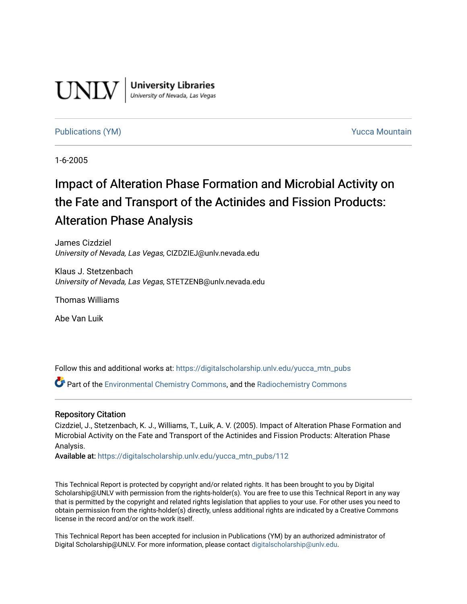

**University Libraries**<br>University of Nevada, Las Vegas

#### [Publications \(YM\)](https://digitalscholarship.unlv.edu/yucca_mtn_pubs) **Publications (YM) Publications (YM) Publications** (*YM*)

1-6-2005

# Impact of Alteration Phase Formation and Microbial Activity on the Fate and Transport of the Actinides and Fission Products: Alteration Phase Analysis

James Cizdziel University of Nevada, Las Vegas, CIZDZIEJ@unlv.nevada.edu

Klaus J. Stetzenbach University of Nevada, Las Vegas, STETZENB@unlv.nevada.edu

Thomas Williams

Abe Van Luik

Follow this and additional works at: [https://digitalscholarship.unlv.edu/yucca\\_mtn\\_pubs](https://digitalscholarship.unlv.edu/yucca_mtn_pubs?utm_source=digitalscholarship.unlv.edu%2Fyucca_mtn_pubs%2F112&utm_medium=PDF&utm_campaign=PDFCoverPages)

Part of the [Environmental Chemistry Commons](http://network.bepress.com/hgg/discipline/134?utm_source=digitalscholarship.unlv.edu%2Fyucca_mtn_pubs%2F112&utm_medium=PDF&utm_campaign=PDFCoverPages), and the [Radiochemistry Commons](http://network.bepress.com/hgg/discipline/1196?utm_source=digitalscholarship.unlv.edu%2Fyucca_mtn_pubs%2F112&utm_medium=PDF&utm_campaign=PDFCoverPages) 

#### Repository Citation

Cizdziel, J., Stetzenbach, K. J., Williams, T., Luik, A. V. (2005). Impact of Alteration Phase Formation and Microbial Activity on the Fate and Transport of the Actinides and Fission Products: Alteration Phase Analysis.

Available at: [https://digitalscholarship.unlv.edu/yucca\\_mtn\\_pubs/112](https://digitalscholarship.unlv.edu/yucca_mtn_pubs/112) 

This Technical Report is protected by copyright and/or related rights. It has been brought to you by Digital Scholarship@UNLV with permission from the rights-holder(s). You are free to use this Technical Report in any way that is permitted by the copyright and related rights legislation that applies to your use. For other uses you need to obtain permission from the rights-holder(s) directly, unless additional rights are indicated by a Creative Commons license in the record and/or on the work itself.

This Technical Report has been accepted for inclusion in Publications (YM) by an authorized administrator of Digital Scholarship@UNLV. For more information, please contact [digitalscholarship@unlv.edu](mailto:digitalscholarship@unlv.edu).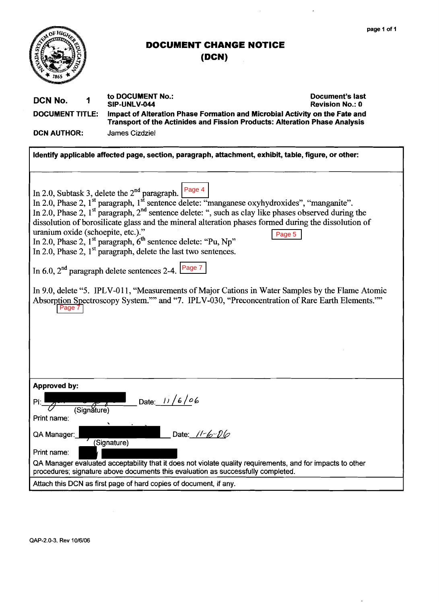

 $\overline{a}$ 

 $\sim$   $\sim$ 

<span id="page-1-0"></span>

# **DOCUMENT CHANGE NOTICE**

**(DCN)** 

| DCN No.<br>1<br><b>DOCUMENT TITLE:</b><br><b>DCN AUTHOR:</b>                                                                                                                                   | to DOCUMENT No.:<br>Document's last<br>SIP-UNLV-044<br><b>Revision No.: 0</b><br>Impact of Alteration Phase Formation and Microbial Activity on the Fate and<br>Transport of the Actinides and Fission Products: Alteration Phase Analysis<br><b>James Cizdziel</b>                                                                                                                                                                                                                                                                 |  |  |
|------------------------------------------------------------------------------------------------------------------------------------------------------------------------------------------------|-------------------------------------------------------------------------------------------------------------------------------------------------------------------------------------------------------------------------------------------------------------------------------------------------------------------------------------------------------------------------------------------------------------------------------------------------------------------------------------------------------------------------------------|--|--|
|                                                                                                                                                                                                |                                                                                                                                                                                                                                                                                                                                                                                                                                                                                                                                     |  |  |
|                                                                                                                                                                                                | Identify applicable affected page, section, paragraph, attachment, exhibit, table, figure, or other:                                                                                                                                                                                                                                                                                                                                                                                                                                |  |  |
|                                                                                                                                                                                                |                                                                                                                                                                                                                                                                                                                                                                                                                                                                                                                                     |  |  |
| uranium oxide (schoepite, etc.)."                                                                                                                                                              | In 2.0, Subtask 3, delete the $2^{nd}$ paragraph. Page 4<br>In 2.0, Phase 2, $1st$ paragraph, $1st$ sentence delete: "manganese oxyhydroxides", "manganite".<br>In 2.0, Phase 2, $1st$ paragraph, $2nd$ sentence delete: ", such as clay like phases observed during the<br>dissolution of borosilicate glass and the mineral alteration phases formed during the dissolution of<br>Page 5<br>In 2.0, Phase 2, $1st$ paragraph, $6th$ sentence delete: "Pu, Np"<br>In 2.0, Phase 2, $1st$ paragraph, delete the last two sentences. |  |  |
| In 6.0, $2^{nd}$ paragraph delete sentences 2-4. Page 7                                                                                                                                        |                                                                                                                                                                                                                                                                                                                                                                                                                                                                                                                                     |  |  |
| Page 7                                                                                                                                                                                         | In 9.0, delete "5. IPLV-011, "Measurements of Major Cations in Water Samples by the Flame Atomic<br>Absorption Spectroscopy System."" and "7. IPLV-030, "Preconcentration of Rare Earth Elements.""                                                                                                                                                                                                                                                                                                                                 |  |  |
| Approved by:<br>$P$ :<br>(Signature)<br>Print name:<br>QA Manager:<br>Print name:                                                                                                              | Date: $11/6/06$<br>Date: $11 - 6 - 06$<br>(Signature)                                                                                                                                                                                                                                                                                                                                                                                                                                                                               |  |  |
| QA Manager evaluated acceptability that it does not violate quality requirements, and for impacts to other<br>procedures; signature above documents this evaluation as successfully completed. |                                                                                                                                                                                                                                                                                                                                                                                                                                                                                                                                     |  |  |
|                                                                                                                                                                                                | Attach this DCN as first page of hard copies of document, if any.                                                                                                                                                                                                                                                                                                                                                                                                                                                                   |  |  |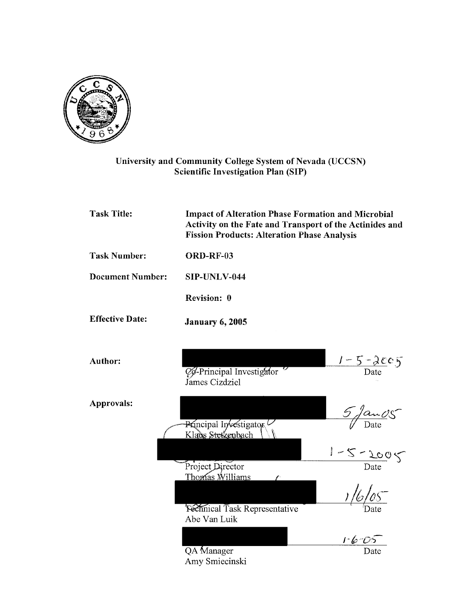

#### University and Community College System of Nevada (UCCSN) Scientific Investigation Plan (SIP)

| <b>Task Title:</b>      | <b>Impact of Alteration Phase Formation and Microbial</b><br>Activity on the Fate and Transport of the Actinides and<br><b>Fission Products: Alteration Phase Analysis</b> |                               |  |
|-------------------------|----------------------------------------------------------------------------------------------------------------------------------------------------------------------------|-------------------------------|--|
| <b>Task Number:</b>     | ORD-RF-03                                                                                                                                                                  |                               |  |
| <b>Document Number:</b> | SIP-UNLV-044                                                                                                                                                               |                               |  |
|                         | Revision: 0                                                                                                                                                                |                               |  |
| <b>Effective Date:</b>  | <b>January 6, 2005</b>                                                                                                                                                     |                               |  |
| <b>Author:</b>          | Co-Principal Investigator<br>James Cizdziel                                                                                                                                | $\frac{1-5-2c}{\text{Date}}$  |  |
| Approvals:              | Principal Investigator<br>Klaus Stetzenbach                                                                                                                                | $\frac{5}{\sqrt{2}}$          |  |
|                         | Project Director<br>Thomas Williams                                                                                                                                        | $\frac{1-5-200}{\text{Date}}$ |  |
|                         | <b>Fechnical Task Representative</b><br>Abe Van Luik                                                                                                                       | 1/6/05                        |  |
|                         | <b>QA</b> Manager<br>Amy Smiecinski                                                                                                                                        | $1 - 6 - 0.5$<br>Date         |  |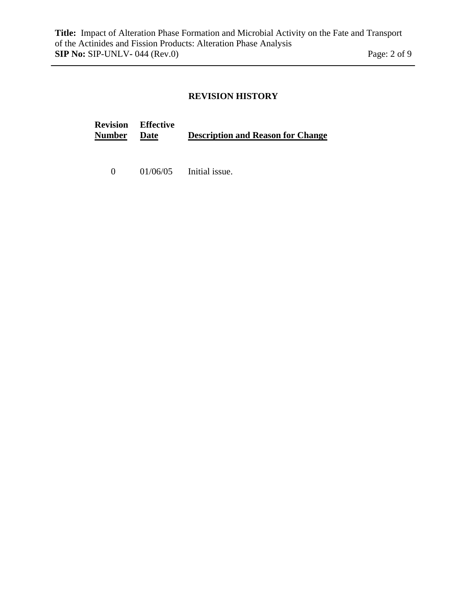# **REVISION HISTORY**

| <b>Number Date</b> | <b>Revision Effective</b> | <b>Description and Reason for Change</b> |
|--------------------|---------------------------|------------------------------------------|
| $\mathbf{0}$       |                           | $01/06/05$ Initial issue.                |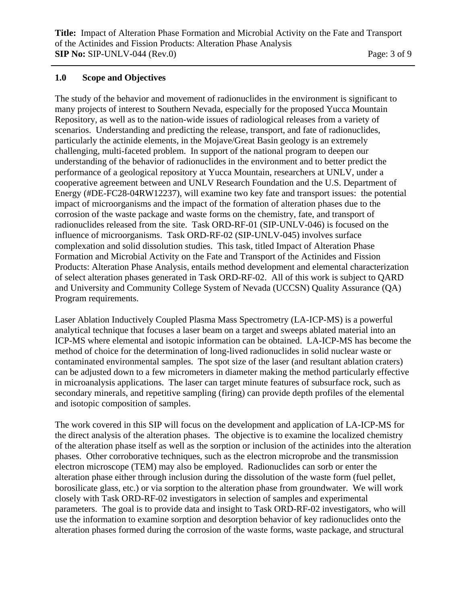#### **1.0 Scope and Objectives**

The study of the behavior and movement of radionuclides in the environment is significant to many projects of interest to Southern Nevada, especially for the proposed Yucca Mountain Repository, as well as to the nation-wide issues of radiological releases from a variety of scenarios. Understanding and predicting the release, transport, and fate of radionuclides, particularly the actinide elements, in the Mojave/Great Basin geology is an extremely challenging, multi-faceted problem. In support of the national program to deepen our understanding of the behavior of radionuclides in the environment and to better predict the performance of a geological repository at Yucca Mountain, researchers at UNLV, under a cooperative agreement between and UNLV Research Foundation and the U.S. Department of Energy (#DE-FC28-04RW12237), will examine two key fate and transport issues: the potential impact of microorganisms and the impact of the formation of alteration phases due to the corrosion of the waste package and waste forms on the chemistry, fate, and transport of radionuclides released from the site. Task ORD-RF-01 (SIP-UNLV-046) is focused on the influence of microorganisms. Task ORD-RF-02 (SIP-UNLV-045) involves surface complexation and solid dissolution studies. This task, titled Impact of Alteration Phase Formation and Microbial Activity on the Fate and Transport of the Actinides and Fission Products: Alteration Phase Analysis, entails method development and elemental characterization of select alteration phases generated in Task ORD-RF-02. All of this work is subject to QARD and University and Community College System of Nevada (UCCSN) Quality Assurance (QA) Program requirements.

Laser Ablation Inductively Coupled Plasma Mass Spectrometry (LA-ICP-MS) is a powerful analytical technique that focuses a laser beam on a target and sweeps ablated material into an ICP-MS where elemental and isotopic information can be obtained. LA-ICP-MS has become the method of choice for the determination of long-lived radionuclides in solid nuclear waste or contaminated environmental samples. The spot size of the laser (and resultant ablation craters) can be adjusted down to a few micrometers in diameter making the method particularly effective in microanalysis applications. The laser can target minute features of subsurface rock, such as secondary minerals, and repetitive sampling (firing) can provide depth profiles of the elemental and isotopic composition of samples.

The work covered in this SIP will focus on the development and application of LA-ICP-MS for the direct analysis of the alteration phases. The objective is to examine the localized chemistry of the alteration phase itself as well as the sorption or inclusion of the actinides into the alteration phases. Other corroborative techniques, such as the electron microprobe and the transmission electron microscope (TEM) may also be employed. Radionuclides can sorb or enter the alteration phase either through inclusion during the dissolution of the waste form (fuel pellet, borosilicate glass, etc.) or via sorption to the alteration phase from groundwater. We will work closely with Task ORD-RF-02 investigators in selection of samples and experimental parameters. The goal is to provide data and insight to Task ORD-RF-02 investigators, who will use the information to examine sorption and desorption behavior of key radionuclides onto the alteration phases formed during the corrosion of the waste forms, waste package, and structural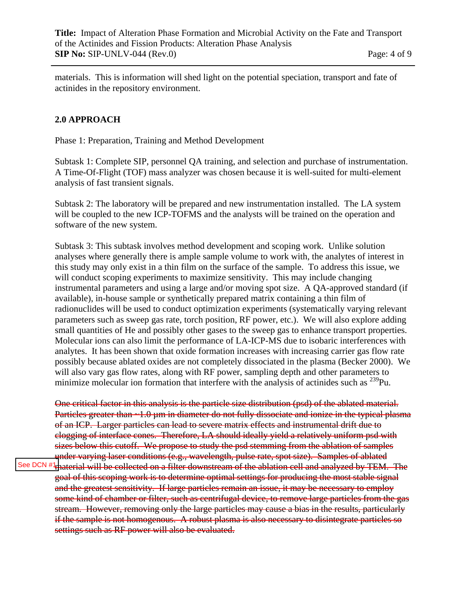<span id="page-5-0"></span>materials. This is information will shed light on the potential speciation, transport and fate of actinides in the repository environment.

# **2.0 APPROACH**

Phase 1: Preparation, Training and Method Development

Subtask 1: Complete SIP, personnel QA training, and selection and purchase of instrumentation. A Time-Of-Flight (TOF) mass analyzer was chosen because it is well-suited for multi-element analysis of fast transient signals.

Subtask 2: The laboratory will be prepared and new instrumentation installed. The LA system will be coupled to the new ICP-TOFMS and the analysts will be trained on the operation and software of the new system.

Subtask 3: This subtask involves method development and scoping work. Unlike solution analyses where generally there is ample sample volume to work with, the analytes of interest in this study may only exist in a thin film on the surface of the sample. To address this issue, we will conduct scoping experiments to maximize sensitivity. This may include changing instrumental parameters and using a large and/or moving spot size. A QA-approved standard (if available), in-house sample or synthetically prepared matrix containing a thin film of radionuclides will be used to conduct optimization experiments (systematically varying relevant parameters such as sweep gas rate, torch position, RF power, etc.). We will also explore adding small quantities of He and possibly other gases to the sweep gas to enhance transport properties. Molecular ions can also limit the performance of LA-ICP-MS due to isobaric interferences with analytes. It has been shown that oxide formation increases with increasing carrier gas flow rate possibly because ablated oxides are not completely dissociated in the plasma (Becker 2000). We will also vary gas flow rates, along with RF power, sampling depth and other parameters to minimize molecular ion formation that interfere with the analysis of actinides such as  $^{239}$ Pu.

One critical factor in this analysis is the particle size distribution (psd) of the ablated material. Particles greater than ~1.0 µm in diameter do not fully dissociate and ionize in the typical plasma of an ICP. Larger particles can lead to severe matrix effects and instrumental drift due to clogging of interface cones. Therefore, LA should ideally yield a relatively uniform psd with sizes below this cutoff. We propose to study the psd stemming from the ablation of samples under varying laser conditions (e.g., wavelength, pulse rate, spot size). Samples of ablated

**material will be collected on a filter downstream of the ablation cell and analyzed by TEM. The** goal of this scoping work is to determine optimal settings for producing the most stable signal and the greatest sensitivity. If large particles remain an issue, it may be necessary to employ some kind of chamber or filter, such as centrifugal device, to remove large particles from the gas stream. However, removing only the large particles may cause a bias in the results, particularly if the sample is not homogenous. A robust plasma is also necessary to disintegrate particles so settings such as RF power will also be evaluated. See DCN #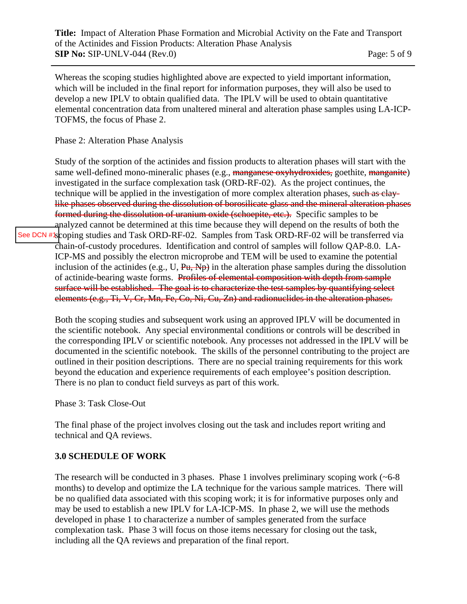<span id="page-6-0"></span>Whereas the scoping studies highlighted above are expected to yield important information, which will be included in the final report for information purposes, they will also be used to develop a new IPLV to obtain qualified data. The IPLV will be used to obtain quantitative elemental concentration data from unaltered mineral and alteration phase samples using LA-ICP-TOFMS, the focus of Phase 2.

Phase 2: Alteration Phase Analysis

Study of the sorption of the actinides and fission products to alteration phases will start with the same well-defined mono-mineralic phases (e.g., manganese oxyhydroxides, goethite, manganite) investigated in the surface complexation task (ORD-RF-02). As the project continues, the technique will be applied in the investigation of more complex alteration phases, such as claylike phases observed during the dissolution of borosilicate glass and the mineral alteration phases formed during the dissolution of uranium oxide (schoepite, etc.). Specific samples to be analyzed cannot be determined at this time because they will depend on the results of both the [See DCN #1](#page-1-0)scoping studies and Task ORD-RF-02. Samples from Task ORD-RF-02 will be transferred via chain-of-custody procedures. Identification and control of samples will follow QAP-8.0. LA-ICP-MS and possibly the electron microprobe and TEM will be used to examine the potential inclusion of the actinides (e.g., U,  $\overrightarrow{Pu}$ ,  $\overrightarrow{Np}$ ) in the alteration phase samples during the dissolution of actinide-bearing waste forms. Profiles of elemental composition with depth from sample surface will be established. The goal is to characterize the test samples by quantifying select elements (e.g., Ti, V, Cr, Mn, Fe, Co, Ni, Cu, Zn) and radionuclides in the alteration phases.

Both the scoping studies and subsequent work using an approved IPLV will be documented in the scientific notebook. Any special environmental conditions or controls will be described in the corresponding IPLV or scientific notebook. Any processes not addressed in the IPLV will be documented in the scientific notebook. The skills of the personnel contributing to the project are outlined in their position descriptions. There are no special training requirements for this work beyond the education and experience requirements of each employee's position description. There is no plan to conduct field surveys as part of this work.

Phase 3: Task Close-Out

The final phase of the project involves closing out the task and includes report writing and technical and QA reviews.

#### **3.0 SCHEDULE OF WORK**

The research will be conducted in 3 phases. Phase 1 involves preliminary scoping work  $(-6-8)$ months) to develop and optimize the LA technique for the various sample matrices. There will be no qualified data associated with this scoping work; it is for informative purposes only and may be used to establish a new IPLV for LA-ICP-MS. In phase 2, we will use the methods developed in phase 1 to characterize a number of samples generated from the surface complexation task. Phase 3 will focus on those items necessary for closing out the task, including all the QA reviews and preparation of the final report.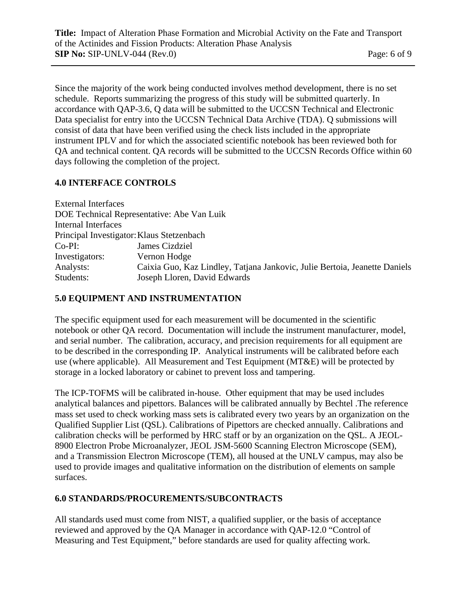Since the majority of the work being conducted involves method development, there is no set schedule. Reports summarizing the progress of this study will be submitted quarterly. In accordance with QAP-3.6, Q data will be submitted to the UCCSN Technical and Electronic Data specialist for entry into the UCCSN Technical Data Archive (TDA). Q submissions will consist of data that have been verified using the check lists included in the appropriate instrument IPLV and for which the associated scientific notebook has been reviewed both for QA and technical content. QA records will be submitted to the UCCSN Records Office within 60 days following the completion of the project.

#### **4.0 INTERFACE CONTROLS**

| <b>External Interfaces</b>                |                                                                            |
|-------------------------------------------|----------------------------------------------------------------------------|
|                                           | DOE Technical Representative: Abe Van Luik                                 |
| <b>Internal Interfaces</b>                |                                                                            |
| Principal Investigator: Klaus Stetzenbach |                                                                            |
| $Co-PI:$                                  | James Cizdziel                                                             |
| Investigators:                            | Vernon Hodge                                                               |
| Analysts:                                 | Caixia Guo, Kaz Lindley, Tatjana Jankovic, Julie Bertoia, Jeanette Daniels |
| Students:                                 | Joseph Lloren, David Edwards                                               |

#### **5.0 EQUIPMENT AND INSTRUMENTATION**

The specific equipment used for each measurement will be documented in the scientific notebook or other QA record. Documentation will include the instrument manufacturer, model, and serial number. The calibration, accuracy, and precision requirements for all equipment are to be described in the corresponding IP. Analytical instruments will be calibrated before each use (where applicable). All Measurement and Test Equipment (MT&E) will be protected by storage in a locked laboratory or cabinet to prevent loss and tampering.

The ICP-TOFMS will be calibrated in-house. Other equipment that may be used includes analytical balances and pipettors. Balances will be calibrated annually by Bechtel .The reference mass set used to check working mass sets is calibrated every two years by an organization on the Qualified Supplier List (QSL). Calibrations of Pipettors are checked annually. Calibrations and calibration checks will be performed by HRC staff or by an organization on the QSL. A JEOL-8900 Electron Probe Microanalyzer, JEOL JSM-5600 Scanning Electron Microscope (SEM), and a Transmission Electron Microscope (TEM), all housed at the UNLV campus, may also be used to provide images and qualitative information on the distribution of elements on sample surfaces.

#### **6.0 STANDARDS/PROCUREMENTS/SUBCONTRACTS**

All standards used must come from NIST, a qualified supplier, or the basis of acceptance reviewed and approved by the QA Manager in accordance with QAP-12.0 "Control of Measuring and Test Equipment," before standards are used for quality affecting work.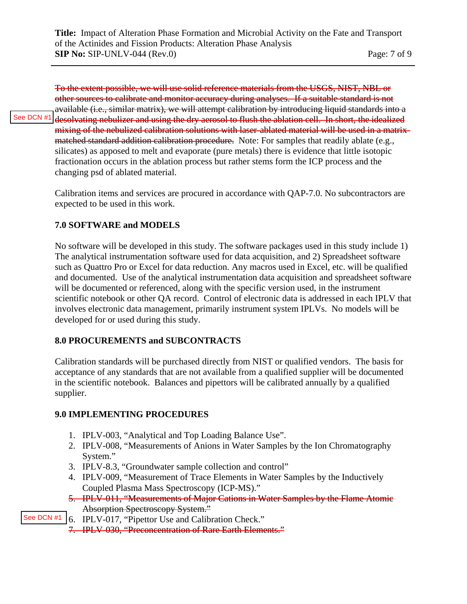[See DCN #1](#page-1-0)

<span id="page-8-0"></span>To the extent possible, we will use solid reference materials from the USGS, NIST, NBL or other sources to calibrate and monitor accuracy during analyses. If a suitable standard is not available (i.e., similar matrix), we will attempt calibration by introducing liquid standards into a desolvating nebulizer and using the dry aerosol to flush the ablation cell. In short, the idealized mixing of the nebulized calibration solutions with laser-ablated material will be used in a matrixmatched standard addition calibration procedure. Note: For samples that readily ablate (e.g., silicates) as apposed to melt and evaporate (pure metals) there is evidence that little isotopic fractionation occurs in the ablation process but rather stems form the ICP process and the changing psd of ablated material.

Calibration items and services are procured in accordance with QAP-7.0. No subcontractors are expected to be used in this work.

#### **7.0 SOFTWARE and MODELS**

No software will be developed in this study. The software packages used in this study include 1) The analytical instrumentation software used for data acquisition, and 2) Spreadsheet software such as Quattro Pro or Excel for data reduction. Any macros used in Excel, etc. will be qualified and documented. Use of the analytical instrumentation data acquisition and spreadsheet software will be documented or referenced, along with the specific version used, in the instrument scientific notebook or other QA record. Control of electronic data is addressed in each IPLV that involves electronic data management, primarily instrument system IPLVs. No models will be developed for or used during this study.

#### **8.0 PROCUREMENTS and SUBCONTRACTS**

Calibration standards will be purchased directly from NIST or qualified vendors. The basis for acceptance of any standards that are not available from a qualified supplier will be documented in the scientific notebook. Balances and pipettors will be calibrated annually by a qualified supplier.

#### **9.0 IMPLEMENTING PROCEDURES**

- 1. IPLV-003, "Analytical and Top Loading Balance Use".
- 2. IPLV-008, "Measurements of Anions in Water Samples by the Ion Chromatography System."
- 3. IPLV-8.3, "Groundwater sample collection and control"
- 4. IPLV-009, "Measurement of Trace Elements in Water Samples by the Inductively Coupled Plasma Mass Spectroscopy (ICP-MS)."
- 5. IPLV-011, "Measurements of Major Cations in Water Samples by the Flame Atomic Absorption Spectroscopy System."
- 6. IPLV-017, "Pipettor Use and Calibration Check." [See DCN #1](#page-1-0)
	- 7. IPLV-030, "Preconcentration of Rare Earth Elements."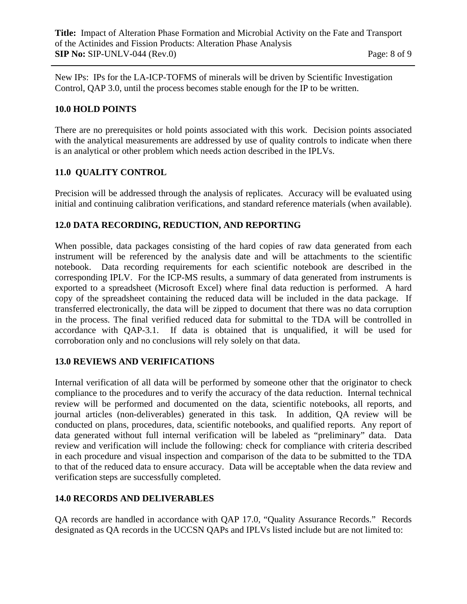New IPs: IPs for the LA-ICP-TOFMS of minerals will be driven by Scientific Investigation Control, QAP 3.0, until the process becomes stable enough for the IP to be written.

## **10.0 HOLD POINTS**

There are no prerequisites or hold points associated with this work. Decision points associated with the analytical measurements are addressed by use of quality controls to indicate when there is an analytical or other problem which needs action described in the IPLVs.

# **11.0 QUALITY CONTROL**

Precision will be addressed through the analysis of replicates. Accuracy will be evaluated using initial and continuing calibration verifications, and standard reference materials (when available).

#### **12.0 DATA RECORDING, REDUCTION, AND REPORTING**

When possible, data packages consisting of the hard copies of raw data generated from each instrument will be referenced by the analysis date and will be attachments to the scientific notebook. Data recording requirements for each scientific notebook are described in the corresponding IPLV. For the ICP-MS results, a summary of data generated from instruments is exported to a spreadsheet (Microsoft Excel) where final data reduction is performed. A hard copy of the spreadsheet containing the reduced data will be included in the data package. If transferred electronically, the data will be zipped to document that there was no data corruption in the process. The final verified reduced data for submittal to the TDA will be controlled in accordance with QAP-3.1. If data is obtained that is unqualified, it will be used for corroboration only and no conclusions will rely solely on that data.

#### **13.0 REVIEWS AND VERIFICATIONS**

Internal verification of all data will be performed by someone other that the originator to check compliance to the procedures and to verify the accuracy of the data reduction. Internal technical review will be performed and documented on the data, scientific notebooks, all reports, and journal articles (non-deliverables) generated in this task. In addition, QA review will be conducted on plans, procedures, data, scientific notebooks, and qualified reports. Any report of data generated without full internal verification will be labeled as "preliminary" data. Data review and verification will include the following: check for compliance with criteria described in each procedure and visual inspection and comparison of the data to be submitted to the TDA to that of the reduced data to ensure accuracy. Data will be acceptable when the data review and verification steps are successfully completed.

#### **14.0 RECORDS AND DELIVERABLES**

QA records are handled in accordance with QAP 17.0, "Quality Assurance Records." Records designated as QA records in the UCCSN QAPs and IPLVs listed include but are not limited to: